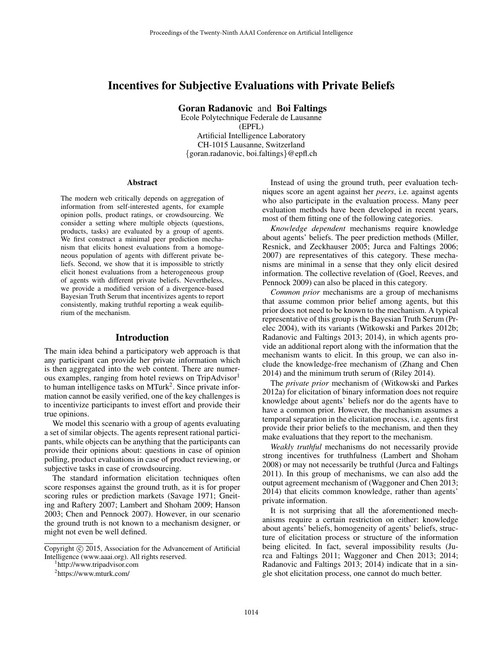# Incentives for Subjective Evaluations with Private Beliefs

Goran Radanovic and Boi Faltings

Ecole Polytechnique Federale de Lausanne (EPFL) Artificial Intelligence Laboratory CH-1015 Lausanne, Switzerland {goran.radanovic, boi.faltings}@epfl.ch

#### Abstract

The modern web critically depends on aggregation of information from self-interested agents, for example opinion polls, product ratings, or crowdsourcing. We consider a setting where multiple objects (questions, products, tasks) are evaluated by a group of agents. We first construct a minimal peer prediction mechanism that elicits honest evaluations from a homogeneous population of agents with different private beliefs. Second, we show that it is impossible to strictly elicit honest evaluations from a heterogeneous group of agents with different private beliefs. Nevertheless, we provide a modified version of a divergence-based Bayesian Truth Serum that incentivizes agents to report consistently, making truthful reporting a weak equilibrium of the mechanism.

#### Introduction

The main idea behind a participatory web approach is that any participant can provide her private information which is then aggregated into the web content. There are numerous examples, ranging from hotel reviews on TripAdvisor<sup>1</sup> to human intelligence tasks on MTurk<sup>2</sup>. Since private information cannot be easily verified, one of the key challenges is to incentivize participants to invest effort and provide their true opinions.

We model this scenario with a group of agents evaluating a set of similar objects. The agents represent rational participants, while objects can be anything that the participants can provide their opinions about: questions in case of opinion polling, product evaluations in case of product reviewing, or subjective tasks in case of crowdsourcing.

The standard information elicitation techniques often score responses against the ground truth, as it is for proper scoring rules or prediction markets (Savage 1971; Gneiting and Raftery 2007; Lambert and Shoham 2009; Hanson 2003; Chen and Pennock 2007). However, in our scenario the ground truth is not known to a mechanism designer, or might not even be well defined.

1 http://www.tripadvisor.com

Instead of using the ground truth, peer evaluation techniques score an agent against her *peers*, i.e. against agents who also participate in the evaluation process. Many peer evaluation methods have been developed in recent years, most of them fitting one of the following categories.

*Knowledge dependent* mechanisms require knowledge about agents' beliefs. The peer prediction methods (Miller, Resnick, and Zeckhauser 2005; Jurca and Faltings 2006; 2007) are representatives of this category. These mechanisms are minimal in a sense that they only elicit desired information. The collective revelation of (Goel, Reeves, and Pennock 2009) can also be placed in this category.

*Common prior* mechanisms are a group of mechanisms that assume common prior belief among agents, but this prior does not need to be known to the mechanism. A typical representative of this group is the Bayesian Truth Serum (Prelec 2004), with its variants (Witkowski and Parkes 2012b; Radanovic and Faltings 2013; 2014), in which agents provide an additional report along with the information that the mechanism wants to elicit. In this group, we can also include the knowledge-free mechanism of (Zhang and Chen 2014) and the minimum truth serum of (Riley 2014).

The *private prior* mechanism of (Witkowski and Parkes 2012a) for elicitation of binary information does not require knowledge about agents' beliefs nor do the agents have to have a common prior. However, the mechanism assumes a temporal separation in the elicitation process, i.e. agents first provide their prior beliefs to the mechanism, and then they make evaluations that they report to the mechanism.

*Weakly truthful* mechanisms do not necessarily provide strong incentives for truthfulness (Lambert and Shoham 2008) or may not necessarily be truthful (Jurca and Faltings 2011). In this group of mechanisms, we can also add the output agreement mechanism of (Waggoner and Chen 2013; 2014) that elicits common knowledge, rather than agents' private information.

It is not surprising that all the aforementioned mechanisms require a certain restriction on either: knowledge about agents' beliefs, homogeneity of agents' beliefs, structure of elicitation process or structure of the information being elicited. In fact, several impossibility results (Jurca and Faltings 2011; Waggoner and Chen 2013; 2014; Radanovic and Faltings 2013; 2014) indicate that in a single shot elicitation process, one cannot do much better.

Copyright  $\odot$  2015, Association for the Advancement of Artificial Intelligence (www.aaai.org). All rights reserved.

<sup>&</sup>lt;sup>2</sup>https://www.mturk.com/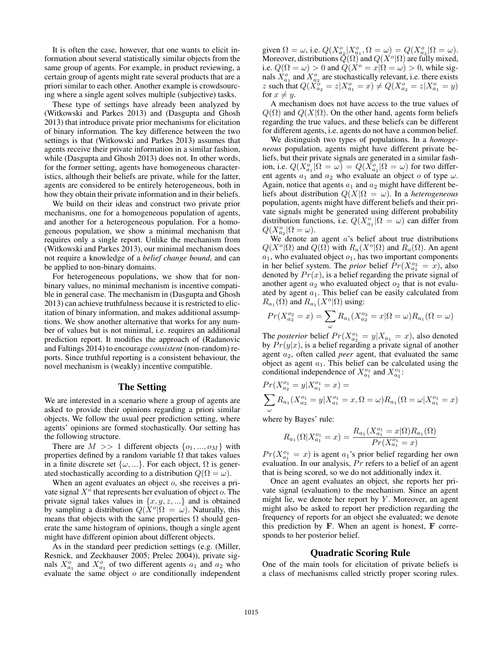It is often the case, however, that one wants to elicit information about several statistically similar objects from the same group of agents. For example, in product reviewing, a certain group of agents might rate several products that are a priori similar to each other. Another example is crowdsourcing where a single agent solves multiple (subjective) tasks.

These type of settings have already been analyzed by (Witkowski and Parkes 2013) and (Dasgupta and Ghosh 2013) that introduce private prior mechanisms for elicitation of binary information. The key difference between the two settings is that (Witkowski and Parkes 2013) assumes that agents receive their private information in a similar fashion, while (Dasgupta and Ghosh 2013) does not. In other words, for the former setting, agents have homogeneous characteristics, although their beliefs are private, while for the latter, agents are considered to be entirely heterogeneous, both in how they obtain their private information and in their beliefs.

We build on their ideas and construct two private prior mechanisms, one for a homogeneous population of agents, and another for a heterogeneous population. For a homogeneous population, we show a minimal mechanism that requires only a single report. Unlike the mechanism from (Witkowski and Parkes 2013), our minimal mechanism does not require a knowledge of a *belief change bound*, and can be applied to non-binary domains.

For heterogeneous populations, we show that for nonbinary values, no minimal mechanism is incentive compatible in general case. The mechanism in (Dasgupta and Ghosh 2013) can achieve truthfulness because it is restricted to elicitation of binary information, and makes additional assumptions. We show another alternative that works for any number of values but is not minimal, i.e. requires an additional prediction report. It modifies the approach of (Radanovic and Faltings 2014) to encourage *consistent* (non-random) reports. Since truthful reporting is a consistent behaviour, the novel mechanism is (weakly) incentive compatible.

## The Setting

We are interested in a scenario where a group of agents are asked to provide their opinions regarding a priori similar objects. We follow the usual peer prediction setting, where agents' opinions are formed stochastically. Our setting has the following structure.

There are  $M \gg 1$  different objects  $\{o_1, ..., o_M\}$  with properties defined by a random variable  $\Omega$  that takes values in a finite discrete set  $\{\omega, ...\}$ . For each object,  $\Omega$  is generated stochastically according to a distribution  $Q(\Omega = \omega)$ .

When an agent evaluates an object *o*, she receives a private signal  $X^{\delta}$  that represents her evaluation of object  $o$ . The private signal takes values in  $\{x, y, z, ...\}$  and is obtained by sampling a distribution  $Q(X^o | \Omega = \omega)$ . Naturally, this means that objects with the same properties  $\Omega$  should generate the same histogram of opinions, though a single agent might have different opinion about different objects.

As in the standard peer prediction settings (e.g. (Miller, Resnick, and Zeckhauser 2005; Prelec 2004)), private signals  $X_{a_1}^o$  and  $X_{a_2}^o$  of two different agents  $a_1$  and  $a_2$  who evaluate the same object  $o$  are conditionally independent

given  $\Omega = \omega$ , i.e.  $Q(X_{a_2}^o | X_{a_1}^o, \Omega = \omega) = Q(X_{a_2}^o | \Omega = \omega)$ . Moreover, distributions  $\tilde{Q}(\Omega)$  and  $Q(X^o|\Omega)$  are fully mixed, i.e.  $Q(\Omega = \omega) > 0$  and  $Q(X^{\circ} = x | \Omega = \omega) > 0$ , while signals  $X_{a_1}^o$  and  $X_{a_2}^o$  are stochastically relevant, i.e. there exists z such that  $Q(\tilde{X}_{a_2}^{\tilde{o}} = z | X_{a_1}^{\circ} = x) \neq Q(X_{a_2}^{\circ} = z | X_{a_1}^{\circ} = y)$ for  $x \neq y$ .

A mechanism does not have access to the true values of  $Q(\Omega)$  and  $Q(X|\Omega)$ . On the other hand, agents form beliefs regarding the true values, and these beliefs can be different for different agents, i.e. agents do not have a common belief.

We distinguish two types of populations. In a *homogeneous* population, agents might have different private beliefs, but their private signals are generated in a similar fashion, i.e.  $Q(X_{a_1}^o | \Omega = \omega) = Q(X_{a_2}^o | \Omega = \omega)$  for two different agents  $a_1$  and  $a_2$  who evaluate an object o of type  $\omega$ . Again, notice that agents  $a_1$  and  $a_2$  might have different beliefs about distribution  $Q(X|\Omega = \omega)$ . In a *heterogeneous* population, agents might have different beliefs and their private signals might be generated using different probability distribution functions, i.e.  $Q(X_{a_1}^o | \Omega = \omega)$  can differ from  $Q(X_{a_2}^o | \Omega = \omega).$ 

We denote an agent  $a$ 's belief about true distributions  $Q(X^o|\Omega)$  and  $Q(\Omega)$  with  $R_a(X^o|\Omega)$  and  $R_a(\Omega)$ . An agent  $a_1$ , who evaluated object  $o_1$ , has two important components in her belief system. The *prior* belief  $Pr(X_{a_2}^{o_2} = x)$ , also denoted by  $Pr(x)$ , is a belief regarding the private signal of another agent  $a_2$  who evaluated object  $o_2$  that is not evaluated by agent  $a_1$ . This belief can be easily calculated from  $R_{a_1}(\Omega)$  and  $R_{a_1}(X^o|\Omega)$  using:

$$
Pr(X_{a_2}^{o_2} = x) = \sum_{\omega} R_{a_1}(X_{a_2}^{o_2} = x | \Omega = \omega) R_{a_1}(\Omega = \omega)
$$

The *posterior* belief  $Pr(X_{a_2}^{o_1} = y | X_{a_1} = x)$ , also denoted by  $Pr(y|x)$ , is a belief regarding a private signal of another agent a2, often called *peer* agent, that evaluated the same object as agent  $a_1$ . This belief can be calculated using the conditional independence of  $X_{a_1}^{o_1}$  and  $X_{a_2}^{o_1}$ :

$$
Pr(X_{a_2}^{o_1} = y | X_{a_1}^{o_1} = x) =
$$
  

$$
\sum_{\omega} R_{a_1}(X_{a_2}^{o_1} = y | X_{a_1}^{o_1} = x, \Omega = \omega) R_{a_1}(\Omega = \omega | X_{a_1}^{o_1} = x)
$$

where by Bayes' rule:

$$
R_{a_1}(\Omega|X_{a_1}^{o_1}=x)=\frac{R_{a_1}(X_{a_1}^{o_1}=x|\Omega)R_{a_1}(\Omega)}{Pr(X_{a_1}^{o_1}=x)}
$$

 $Pr(X_{a_1}^{o_1} = x)$  is agent  $a_1$ 's prior belief regarding her own evaluation. In our analysis,  $Pr$  refers to a belief of an agent that is being scored, so we do not additionally index it.

Once an agent evaluates an object, she reports her private signal (evaluation) to the mechanism. Since an agent might lie, we denote her report by  $Y$ . Moreover, an agent might also be asked to report her prediction regarding the frequency of reports for an object she evaluated; we denote this prediction by **. When an agent is honest,**  $**F**$  **corre**sponds to her posterior belief.

#### Quadratic Scoring Rule

One of the main tools for elicitation of private beliefs is a class of mechanisms called strictly proper scoring rules.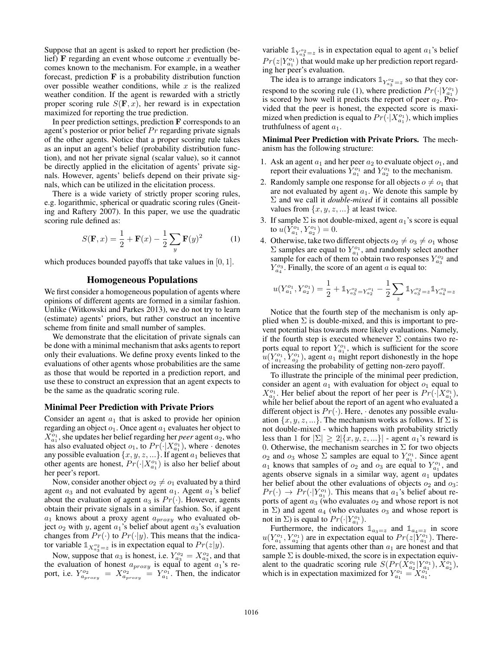Suppose that an agent is asked to report her prediction (belief) F regarding an event whose outcome  $x$  eventually becomes known to the mechanism. For example, in a weather forecast, prediction  $\bf{F}$  is a probability distribution function over possible weather conditions, while  $x$  is the realized weather condition. If the agent is rewarded with a strictly proper scoring rule  $S(\mathbf{F}, x)$ , her reward is in expectation maximized for reporting the true prediction.

In peer prediction settings, prediction F corresponds to an agent's posterior or prior belief  $Pr$  regarding private signals of the other agents. Notice that a proper scoring rule takes as an input an agent's belief (probability distribution function), and not her private signal (scalar value), so it cannot be directly applied in the elicitation of agents' private signals. However, agents' beliefs depend on their private signals, which can be utilized in the elicitation process.

There is a wide variety of strictly proper scoring rules, e.g. logarithmic, spherical or quadratic scoring rules (Gneiting and Raftery 2007). In this paper, we use the quadratic scoring rule defined as:

$$
S(\mathbf{F}, x) = \frac{1}{2} + \mathbf{F}(x) - \frac{1}{2} \sum_{y} \mathbf{F}(y)^2
$$
 (1)

which produces bounded payoffs that take values in [0, 1].

## Homogeneous Populations

We first consider a homogeneous population of agents where opinions of different agents are formed in a similar fashion. Unlike (Witkowski and Parkes 2013), we do not try to learn (estimate) agents' priors, but rather construct an incentive scheme from finite and small number of samples.

We demonstrate that the elicitation of private signals can be done with a minimal mechanism that asks agents to report only their evaluations. We define proxy events linked to the evaluations of other agents whose probabilities are the same as those that would be reported in a prediction report, and use these to construct an expression that an agent expects to be the same as the quadratic scoring rule.

#### Minimal Peer Prediction with Private Priors

Consider an agent  $a_1$  that is asked to provide her opinion regarding an object  $o_1$ . Once agent  $a_1$  evaluates her object to  $X_{a_1}^{o_1}$ , she updates her belief regarding her *peer* agent  $a_2$ , who has also evaluated object  $o_1$ , to  $Pr(\cdot|X_{a_1}^{o_1})$ , where  $\cdot$  denotes any possible evaluation  $\{x, y, z, ...\}$ . If agent  $a_1$  believes that other agents are honest,  $Pr(\cdot|X_{a_1}^{o_1})$  is also her belief about her peer's report.

Now, consider another object  $o_2 \neq o_1$  evaluated by a third agent  $a_3$  and not evaluated by agent  $a_1$ . Agent  $a_1$ 's belief about the evaluation of agent  $a_3$  is  $Pr(\cdot)$ . However, agents obtain their private signals in a similar fashion. So, if agent  $a_1$  knows about a proxy agent  $a_{proxy}$  who evaluated object  $o_2$  with y, agent  $a_1$ 's belief about agent  $a_3$ 's evaluation changes from  $Pr(\cdot)$  to  $Pr(\cdot|y)$ . This means that the indicator variable  $\mathbb{1}_{X_{a_3}^{o_2}=z}$  is in expectation equal to  $Pr(z|y)$ .

Now, suppose that  $a_3$  is honest, i.e.  $Y_{a_3}^{o_2} = X_{a_3}^{o_2}$ , and that the evaluation of honest  $a_{proxy}$  is equal to agent  $a_1$ 's report, i.e.  $Y_{a_{proxy}}^{o_2} = X_{a_{proxy}}^{o_2} = Y_{a_1}^{o_1}$ . Then, the indicator

variable  $\mathbb{1}_{Y_{a_3}^{o_2}=z}$  is in expectation equal to agent  $a_1$ 's belief  $Pr(z|Y^{o_1}_{a_1})$  that would make up her prediction report regarding her peer's evaluation.

The idea is to arrange indicators  $\mathbb{1}_{Y_{\alpha_3}^{\circ 2} = z}$  so that they correspond to the scoring rule (1), where prediction  $Pr(\cdot|Y_{a_1}^{o_1})$ is scored by how well it predicts the report of peer  $a_2$ . Provided that the peer is honest, the expected score is maximized when prediction is equal to  $Pr(\cdot | X_{a_1}^{o_1})$ , which implies truthfulness of agent  $a_1$ .

Minimal Peer Prediction with Private Priors. The mechanism has the following structure:

- 1. Ask an agent  $a_1$  and her peer  $a_2$  to evaluate object  $o_1$ , and report their evaluations  $\bar{Y}_{a_1}^{o_1}$  and  $Y_{a_2}^{o_1}$  to the mechanism.
- 2. Randomly sample one response for all objects  $o \neq o_1$  that are not evaluated by agent  $a_1$ . We denote this sample by Σ and we call it *double-mixed* if it contains all possible values from  $\{x, y, z, ...\}$  at least twice.
- 3. If sample  $\Sigma$  is not double-mixed, agent  $a_1$ 's score is equal to  $u(Y_{a_1}^{\overline{0}_1}, Y_{a_2}^{\overline{0}_1})=0.$
- 4. Otherwise, take two different objects  $o_2 \neq o_3 \neq o_1$  whose  $\Sigma$  samples are equal to  $Y_{a_1}^{o_1}$ , and randomly select another sample for each of them to obtain two responses  $Y_{a_3}^{o_2}$  and  $Y_{a_4}^{\circ_3}$ . Finally, the score of an agent a is equal to:

$$
u(Y_{a_1}^{o_1},Y_{a_2}^{o_1})=\frac{1}{2}+\mathbb{1}_{Y_{a_3}^{o_2}=Y_{a_2}^{o_1}}-\frac{1}{2}\sum_z\mathbb{1}_{Y_{a_3}^{o_2}=z}\mathbb{1}_{Y_{a_4}^{o_3}=z}
$$

Notice that the fourth step of the mechanism is only applied when  $\Sigma$  is double-mixed, and this is important to prevent potential bias towards more likely evaluations. Namely, if the fourth step is executed whenever  $\Sigma$  contains two reports equal to report  $Y_{a_1}^{o_1}$ , which is sufficient for the score  $u(Y_{a_1}^{o_1}, Y_{a_2}^{o_1})$ , agent  $a_1$  might report dishonestly in the hope of increasing the probability of getting non-zero payoff.

To illustrate the principle of the minimal peer prediction, consider an agent  $a_1$  with evaluation for object  $o_1$  equal to  $X_{a_1}^{\rho_1}$ . Her belief about the report of her peer is  $Pr(\cdot | X_{a_1}^{\rho_1})$ , while her belief about the report of an agent who evaluated a different object is  $Pr(\cdot)$ . Here,  $\cdot$  denotes any possible evaluation  $\{x, y, z, ...\}$ . The mechanism works as follows. If  $\Sigma$  is not double-mixed - which happens with probability strictly less than 1 for  $|\Sigma| \geq 2 |\{x, y, z, ...\}|$  - agent  $a_1$ 's reward is 0. Otherwise, the mechanism searches in  $\Sigma$  for two objects  $o_2$  and  $o_3$  whose  $\Sigma$  samples are equal to  $Y_{a_1}^{o_1}$ . Since agent  $a_1$  knows that samples of  $o_2$  and  $o_3$  are equal to  $Y_{a_1}^{o_1}$ , and agents observe signals in a similar way, agent  $a_1$  updates her belief about the other evaluations of objects  $o_2$  and  $o_3$ :  $Pr(\cdot) \rightarrow Pr(\cdot|Y_{a_1}^{o_1})$ . This means that  $a_1$ 's belief about reports of agent  $a_3$  (who evaluates  $o_2$  and whose report is not in  $\Sigma$ ) and agent  $a_4$  (who evaluates  $o_3$  and whose report is not in  $\Sigma$ ) is equal to  $Pr(\cdot|Y_{a_1}^{o_1})$ .

Furthermore, the indicators  $\mathbb{1}_{a_3=z}$  and  $\mathbb{1}_{a_4=z}$  in score  $u(Y_{a_1}^{o_1}, Y_{a_2}^{o_1})$  are in expectation equal to  $Pr(z|Y_{a_1}^{o_1})$ . Therefore, assuming that agents other than  $a_1$  are honest and that sample  $\Sigma$  is double-mixed, the score is in expectation equivalent to the quadratic scoring rule  $S(Pr(\hat{X}_{a_2}^{o_1}|Y_{a_1}^{o_1}), \hat{X}_{a_2}^{o_1})$ , which is in expectation maximized for  $Y_{a_1}^{o_1} = X_{a_1}^{o_1}$ .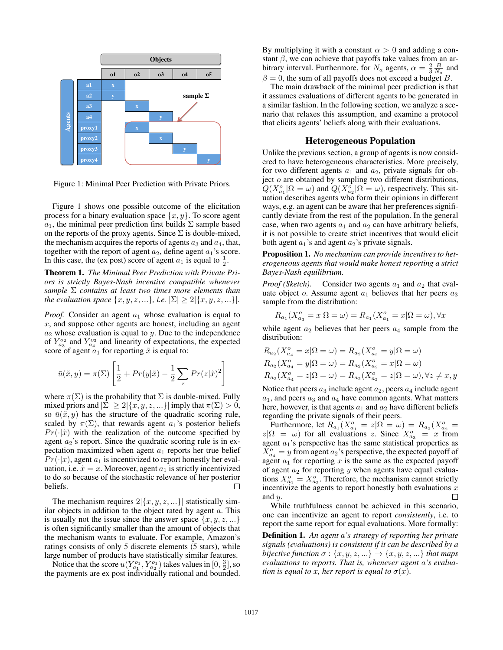

Figure 1: Minimal Peer Prediction with Private Priors.

Figure 1 shows one possible outcome of the elicitation process for a binary evaluation space  $\{x, y\}$ . To score agent  $a_1$ , the minimal peer prediction first builds  $\Sigma$  sample based on the reports of the proxy agents. Since  $\Sigma$  is double-mixed, the mechanism acquires the reports of agents  $a_3$  and  $a_4$ , that, together with the report of agent  $a_2$ , define agent  $a_1$ 's score. In this case, the (ex post) score of agent  $a_1$  is equal to  $\frac{1}{2}$ .

Theorem 1. *The Minimal Peer Prediction with Private Priors is strictly Bayes-Nash incentive compatible whenever sample* Σ *contains at least two times more elements than the evaluation space*  $\{x, y, z, ...\}$ *, i.e.*  $|\Sigma| \ge 2 | \{x, y, z, ...\} |$ *.* 

*Proof.* Consider an agent  $a_1$  whose evaluation is equal to  $x$ , and suppose other agents are honest, including an agent  $a_2$  whose evaluation is equal to y. Due to the independence of  $Y_{a_3}^{o_2}$  and  $Y_{a_4}^{o_3}$  and linearity of expectations, the expected score of agent  $a_1$  for reporting  $\tilde{x}$  is equal to:

$$
\bar{u}(\tilde{x}, y) = \pi(\Sigma) \left[ \frac{1}{2} + Pr(y|\tilde{x}) - \frac{1}{2} \sum_{z} Pr(z|\tilde{x})^{2} \right]
$$

where  $\pi(\Sigma)$  is the probability that  $\Sigma$  is double-mixed. Fully mixed priors and  $|\Sigma| \geq 2 |\{x, y, z, ...\}|$  imply that  $\pi(\Sigma) > 0$ , so  $\bar{u}(\tilde{x}, y)$  has the structure of the quadratic scoring rule, scaled by  $\pi(\Sigma)$ , that rewards agent  $a_1$ 's posterior beliefs  $Pr(\cdot|\tilde{x})$  with the realization of the outcome specified by agent  $a_2$ 's report. Since the quadratic scoring rule is in expectation maximized when agent  $a_1$  reports her true belief  $Pr(\cdot|x)$ , agent  $a_1$  is incentivized to report honestly her evaluation, i.e.  $\tilde{x} = x$ . Moreover, agent  $a_1$  is strictly incentivized to do so because of the stochastic relevance of her posterior beliefs. П

The mechanism requires  $2|\{x, y, z, ...\}|$  statistically similar objects in addition to the object rated by agent  $a$ . This is usually not the issue since the answer space  $\{x, y, z, \ldots\}$ is often significantly smaller than the amount of objects that the mechanism wants to evaluate. For example, Amazon's ratings consists of only 5 discrete elements (5 stars), while large number of products have statistically similar features.

Notice that the score  $u(Y_{a_1}^{o_1}, Y_{a_2}^{o_1})$  takes values in  $[0, \frac{3}{2}],$  so the payments are ex post individually rational and bounded. By multiplying it with a constant  $\alpha > 0$  and adding a constant  $\beta$ , we can achieve that payoffs take values from an arbitrary interval. Furthermore, for  $N_a$  agents,  $\alpha = \frac{2}{3} \frac{B}{N_a}$  and  $\beta = 0$ , the sum of all payoffs does not exceed a budget B.

The main drawback of the minimal peer prediction is that it assumes evaluations of different agents to be generated in a similar fashion. In the following section, we analyze a scenario that relaxes this assumption, and examine a protocol that elicits agents' beliefs along with their evaluations.

#### Heterogeneous Population

Unlike the previous section, a group of agents is now considered to have heterogeneous characteristics. More precisely, for two different agents  $a_1$  and  $a_2$ , private signals for object  $o$  are obtained by sampling two different distributions,  $Q(X_{a_1}^o | \Omega = \omega)$  and  $Q(X_{a_2}^o | \Omega = \omega)$ , respectively. This situation describes agents who form their opinions in different ways, e.g. an agent can be aware that her preferences significantly deviate from the rest of the population. In the general case, when two agents  $a_1$  and  $a_2$  can have arbitrary beliefs, it is not possible to create strict incentives that would elicit both agent  $a_1$ 's and agent  $a_2$ 's private signals.

Proposition 1. *No mechanism can provide incentives to heterogeneous agents that would make honest reporting a strict Bayes-Nash equilibrium.*

*Proof (Sketch).* Consider two agents  $a_1$  and  $a_2$  that evaluate object  $o$ . Assume agent  $a_1$  believes that her peers  $a_3$ sample from the distribution:

$$
R_{a_1}(X_{a_3}^o = x | \Omega = \omega) = R_{a_1}(X_{a_1}^o = x | \Omega = \omega), \forall x
$$

while agent  $a_2$  believes that her peers  $a_4$  sample from the distribution:

$$
R_{a_2}(X_{a_4}^o = x | \Omega = \omega) = R_{a_2}(X_{a_2}^o = y | \Omega = \omega)
$$
  
\n
$$
R_{a_2}(X_{a_4}^o = y | \Omega = \omega) = R_{a_2}(X_{a_2}^o = x | \Omega = \omega)
$$
  
\n
$$
R_{a_2}(X_{a_4}^o = z | \Omega = \omega) = R_{a_2}(X_{a_2}^o = z | \Omega = \omega), \forall z \neq x, y
$$

Notice that peers  $a_3$  include agent  $a_2$ , peers  $a_4$  include agent  $a_1$ , and peers  $a_3$  and  $a_4$  have common agents. What matters here, however, is that agents  $a_1$  and  $a_2$  have different beliefs regarding the private signals of their peers.

Furthermore, let  $R_{a_1}(X_{a_1}^o = z | \Omega = \omega) = R_{a_2}(X_{a_2}^o =$  $z|\Omega = \omega$ ) for all evaluations z. Since  $X_{a_3}^o = x$  from agent  $a_1$ 's perspective has the same statistical properties as  $\overline{X}_{a_4}^o = y$  from agent  $a_2$ 's perspective, the expected payoff of agent  $a_1$  for reporting x is the same as the expected payoff of agent  $a_2$  for reporting y when agents have equal evaluations  $X_{a_1}^o = X_{a_2}^o$ . Therefore, the mechanism cannot strictly incentivize the agents to report honestly both evaluations  $x$ and y.  $\Box$ 

While truthfulness cannot be achieved in this scenario, one can incentivize an agent to report *consistently*, i.e. to report the same report for equal evaluations. More formally:

Definition 1. *An agent* a*'s strategy of reporting her private signals (evaluations) is consistent if it can be described by a bijective function*  $\sigma : \{x, y, z, ...\} \rightarrow \{x, y, z, ...\}$  *that maps evaluations to reports. That is, whenever agent* a*'s evaluation is equal to x, her report is equal to*  $\sigma(x)$ *.*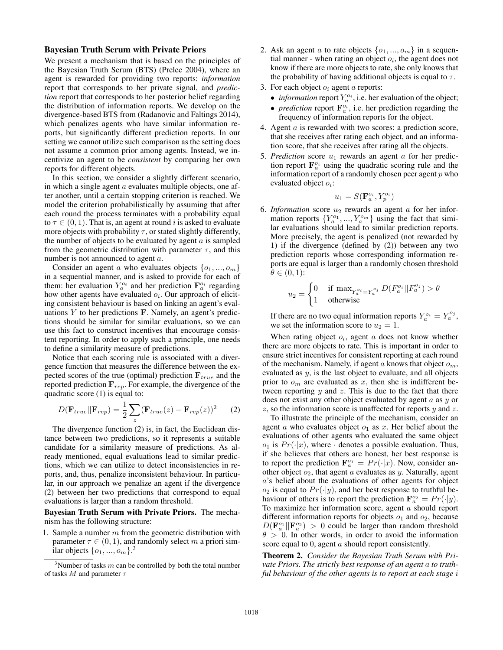### Bayesian Truth Serum with Private Priors

We present a mechanism that is based on the principles of the Bayesian Truth Serum (BTS) (Prelec 2004), where an agent is rewarded for providing two reports: *information* report that corresponds to her private signal, and *prediction* report that corresponds to her posterior belief regarding the distribution of information reports. We develop on the divergence-based BTS from (Radanovic and Faltings 2014), which penalizes agents who have similar information reports, but significantly different prediction reports. In our setting we cannot utilize such comparison as the setting does not assume a common prior among agents. Instead, we incentivize an agent to be *consistent* by comparing her own reports for different objects.

In this section, we consider a slightly different scenario, in which a single agent  $a$  evaluates multiple objects, one after another, until a certain stopping criterion is reached. We model the criterion probabilistically by assuming that after each round the process terminates with a probability equal to  $\tau \in (0, 1)$ . That is, an agent at round i is asked to evaluate more objects with probability  $\tau$ , or stated slightly differently, the number of objects to be evaluated by agent  $\alpha$  is sampled from the geometric distribution with parameter  $\tau$ , and this number is not announced to agent a.

Consider an agent a who evaluates objects  $\{o_1, ..., o_m\}$ in a sequential manner, and is asked to provide for each of them: her evaluation  $Y_a^{\scriptscriptstyle O_i}$  and her prediction  $\mathbf{F}_a^{\scriptscriptstyle O_i}$  regarding how other agents have evaluated  $o_i$ . Our approach of eliciting consistent behaviour is based on linking an agent's evaluations  $Y$  to her predictions  $\bf{F}$ . Namely, an agent's predictions should be similar for similar evaluations, so we can use this fact to construct incentives that encourage consistent reporting. In order to apply such a principle, one needs to define a similarity measure of predictions.

Notice that each scoring rule is associated with a divergence function that measures the difference between the expected scores of the true (optimal) prediction  $\mathbf{F}_{true}$  and the reported prediction  $\mathbf{F}_{rep}$ . For example, the divergence of the quadratic score (1) is equal to:

$$
D(\mathbf{F}_{true}||\mathbf{F}_{rep}) = \frac{1}{2} \sum_{z} (\mathbf{F}_{true}(z) - \mathbf{F}_{rep}(z))^2
$$
 (2)

The divergence function (2) is, in fact, the Euclidean distance between two predictions, so it represents a suitable candidate for a similarity measure of predictions. As already mentioned, equal evaluations lead to similar predictions, which we can utilize to detect inconsistencies in reports, and, thus, penalize inconsistent behaviour. In particular, in our approach we penalize an agent if the divergence (2) between her two predictions that correspond to equal evaluations is larger than a random threshold.

Bayesian Truth Serum with Private Priors. The mechanism has the following structure:

1. Sample a number  $m$  from the geometric distribution with parameter  $\tau \in (0, 1)$ , and randomly select m a priori similar objects  $\{o_1, ..., o_m\}$ .<sup>3</sup>

- 2. Ask an agent a to rate objects  $\{o_1, ..., o_m\}$  in a sequential manner - when rating an object  $o_i$ , the agent does not know if there are more objects to rate, she only knows that the probability of having additional objects is equal to  $\tau$ .
- 3. For each object  $o_i$  agent a reports:
	- *information* report  $Y_a^{o_i}$ , i.e. her evaluation of the object;
	- *prediction* report  $\mathbf{F}_a^{o_i}$ , i.e. her prediction regarding the frequency of information reports for the object.
- 4. Agent a is rewarded with two scores: a prediction score, that she receives after rating each object, and an information score, that she receives after rating all the objects.
- 5. *Prediction* score  $u_1$  rewards an agent  $a$  for her prediction report  $\mathbf{F}_a^{o_i}$  using the quadratic scoring rule and the information report of a randomly chosen peer agent  $p$  who evaluated object  $o_i$ :

$$
u_1 = S(\mathbf{F}_a^{o_i}, Y_p^{o_i})
$$

6. *Information* score  $u_2$  rewards an agent  $a$  for her information reports  $\{Y_a^{o_1}, ..., Y_a^{o_m}\}$  using the fact that similar evaluations should lead to similar prediction reports. More precisely, the agent is penalized (not rewarded by 1) if the divergence (defined by (2)) between any two prediction reports whose corresponding information reports are equal is larger than a randomly chosen threshold  $\theta \in (0,1)$ :

$$
u_2 = \begin{cases} 0 & \text{if } \max_{Y_a^{o_i} = Y_a^{o_j}} D(F_a^{o_i} || F_a^{o_j}) > \theta \\ 1 & \text{otherwise} \end{cases}
$$

If there are no two equal information reports  $Y_a^{o_i} = Y_a^{o_j}$ , we set the information score to  $u_2 = 1$ .

When rating object  $o_i$ , agent  $a$  does not know whether there are more objects to rate. This is important in order to ensure strict incentives for consistent reporting at each round of the mechanism. Namely, if agent  $a$  knows that object  $o_m$ , evaluated as y, is the last object to evaluate, and all objects prior to  $o_m$  are evaluated as x, then she is indifferent between reporting  $y$  and  $z$ . This is due to the fact that there does not exist any other object evaluated by agent a as y or z, so the information score is unaffected for reports  $y$  and  $z$ .

To illustrate the principle of the mechanism, consider an agent a who evaluates object  $o_1$  as x. Her belief about the evaluations of other agents who evaluated the same object  $o_1$  is  $Pr(\cdot|x)$ , where  $\cdot$  denotes a possible evaluation. Thus, if she believes that others are honest, her best response is to report the prediction  $\mathbf{F}_a^{\scriptscriptstyle o_1} = Pr(\cdot|x)$ . Now, consider another object  $o_2$ , that agent a evaluates as y. Naturally, agent a's belief about the evaluations of other agents for object  $o_2$  is equal to  $Pr(\cdot|y)$ , and her best response to truthful behaviour of others is to report the prediction  $\mathbf{F}_a^{o_2} = Pr(\cdot|y)$ . To maximize her information score, agent  $a$  should report different information reports for objects  $o_1$  and  $o_2$ , because  $D(\mathbf{F}_a^{\circ}||\mathbf{F}_a^{\circ}) > 0$  could be larger than random threshold  $\theta > 0$ . In other words, in order to avoid the information score equal to 0, agent a should report consistently.

Theorem 2. *Consider the Bayesian Truth Serum with Private Priors. The strictly best response of an agent* a *to truthful behaviour of the other agents is to report at each stage* i

<sup>&</sup>lt;sup>3</sup>Number of tasks m can be controlled by both the total number of tasks  $M$  and parameter  $\tau$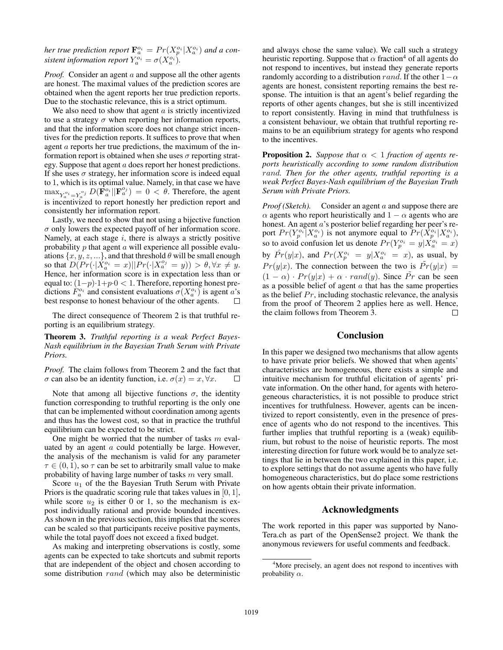her true prediction report  $\mathbf{F}_a^{\scriptscriptstyle o_i} = Pr(X_p^{\scriptscriptstyle o_i}|X_a^{\scriptscriptstyle o_i})$  and a con*sistent information report*  $Y_a^{\circ i} = \sigma(X_a^{\circ i})$ .

*Proof.* Consider an agent a and suppose all the other agents are honest. The maximal values of the prediction scores are obtained when the agent reports her true prediction reports. Due to the stochastic relevance, this is a strict optimum.

We also need to show that agent  $\alpha$  is strictly incentivized to use a strategy  $\sigma$  when reporting her information reports, and that the information score does not change strict incentives for the prediction reports. It suffices to prove that when agent a reports her true predictions, the maximum of the information report is obtained when she uses  $\sigma$  reporting strategy. Suppose that agent a does report her honest predictions. If she uses  $\sigma$  strategy, her information score is indeed equal to 1, which is its optimal value. Namely, in that case we have  $\max_{Y_a^{o_i}=Y_a^{o_j}} D(\mathbf{F}_a^{o_i}||\mathbf{F}_a^{o_j}) = 0 < \theta$ . Therefore, the agent is incentivized to report honestly her prediction report and consistently her information report.

Lastly, we need to show that not using a bijective function  $\sigma$  only lowers the expected payoff of her information score. Namely, at each stage  $i$ , there is always a strictly positive probability  $p$  that agent  $a$  will experience all possible evaluations  $\{x, y, z, ...\}$ , and that threshold  $\theta$  will be small enough so that  $D(Pr(\cdot|X_a^{o_i}=x)||Pr(\cdot|X_a^{o_j}=y)) > \theta, \forall x \neq y$ . Hence, her information score is in expectation less than or equal to:  $(1-p) \cdot 1 + p \cdot 0 < 1$ . Therefore, reporting honest predictions  $F_a^{\sigma_i}$  and consistent evaluations  $\sigma(X_a^{\sigma_i})$  is agent a's best response to honest behaviour of the other agents.  $\Box$ 

The direct consequence of Theorem 2 is that truthful reporting is an equilibrium strategy.

Theorem 3. *Truthful reporting is a weak Perfect Bayes-Nash equilibrium in the Bayesian Truth Serum with Private Priors.*

*Proof.* The claim follows from Theorem 2 and the fact that  $\sigma$  can also be an identity function, i.e.  $\sigma(x) = x, \forall x$ .  $\Box$ 

Note that among all bijective functions  $\sigma$ , the identity function corresponding to truthful reporting is the only one that can be implemented without coordination among agents and thus has the lowest cost, so that in practice the truthful equilibrium can be expected to be strict.

One might be worried that the number of tasks  $m$  evaluated by an agent a could potentially be large. However, the analysis of the mechanism is valid for any parameter  $\tau \in (0, 1)$ , so  $\tau$  can be set to arbitrarily small value to make probability of having large number of tasks m very small.

Score  $u_1$  of the the Bayesian Truth Serum with Private Priors is the quadratic scoring rule that takes values in [0, 1], while score  $u_2$  is either 0 or 1, so the mechanism is expost individually rational and provide bounded incentives. As shown in the previous section, this implies that the scores can be scaled so that participants receive positive payments, while the total payoff does not exceed a fixed budget.

As making and interpreting observations is costly, some agents can be expected to take shortcuts and submit reports that are independent of the object and chosen according to some distribution rand (which may also be deterministic

and always chose the same value). We call such a strategy heuristic reporting. Suppose that  $\alpha$  fraction<sup>4</sup> of all agents do not respond to incentives, but instead they generate reports randomly according to a distribution rand. If the other  $1-\alpha$ agents are honest, consistent reporting remains the best response. The intuition is that an agent's belief regarding the reports of other agents changes, but she is still incentivized to report consistently. Having in mind that truthfulness is a consistent behaviour, we obtain that truthful reporting remains to be an equilibrium strategy for agents who respond to the incentives.

**Proposition 2.** *Suppose that*  $\alpha < 1$  *fraction of agents reports heuristically according to some random distribution* rand*. Then for the other agents, truthful reporting is a weak Perfect Bayes-Nash equilibrium of the Bayesian Truth Serum with Private Priors.*

*Proof (Sketch).* Consider an agent a and suppose there are  $\alpha$  agents who report heuristically and  $1 - \alpha$  agents who are honest. An agent a's posterior belief regarding her peer's report  $Pr(Y_p^{o_i}|X_a^{o_i})$  is not anymore equal to  $Pr(X_p^{o_i}|X_a^{o_i})$ , so to avoid confusion let us denote  $Pr(Y_p^{o_i} = y | \hat{X}_a^{o_i} = x)$ by  $\hat{Pr}(y|x)$ , and  $\hat{Pr}(X^{o_i}_{p} = y | X^{o_i}_{a} = x)$ , as usual, by  $Pr(y|x)$ . The connection between the two is  $Pr(y|x)$  =  $(1 - \alpha) \cdot Pr(y|x) + \alpha \cdot rand(y)$ . Since Pr can be seen as a possible belief of agent  $\alpha$  that has the same properties as the belief  $Pr$ , including stochastic relevance, the analysis from the proof of Theorem 2 applies here as well. Hence, the claim follows from Theorem 3. П

## Conclusion

In this paper we designed two mechanisms that allow agents to have private prior beliefs. We showed that when agents' characteristics are homogeneous, there exists a simple and intuitive mechanism for truthful elicitation of agents' private information. On the other hand, for agents with heterogeneous characteristics, it is not possible to produce strict incentives for truthfulness. However, agents can be incentivized to report consistently, even in the presence of presence of agents who do not respond to the incentives. This further implies that truthful reporting is a (weak) equilibrium, but robust to the noise of heuristic reports. The most interesting direction for future work would be to analyze settings that lie in between the two explained in this paper, i.e. to explore settings that do not assume agents who have fully homogeneous characteristics, but do place some restrictions on how agents obtain their private information.

## Acknowledgments

The work reported in this paper was supported by Nano-Tera.ch as part of the OpenSense2 project. We thank the anonymous reviewers for useful comments and feedback.

<sup>&</sup>lt;sup>4</sup>More precisely, an agent does not respond to incentives with probability  $\alpha$ .